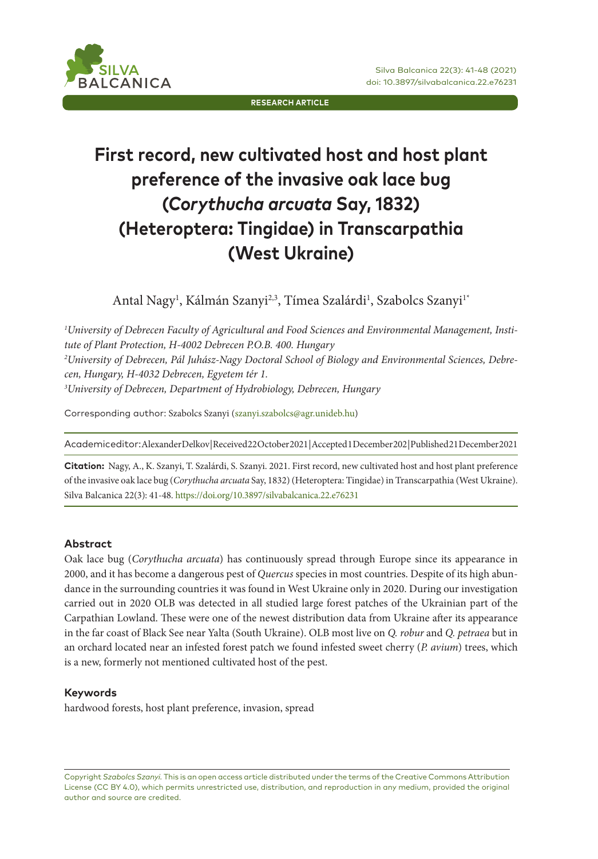

**RESEARCH ARTICLE**

# **First record, new cultivated host and host plant preference of the invasive oak lace bug (***Corythucha arcuata* **Say, 1832) (Heteroptera: Tingidae) in Transcarpathia (West Ukraine)**

Antal Nagy<sup>ı</sup>, Kálmán Szanyi<sup>2,3</sup>, Tímea Szalárdi<sup>1</sup>, Szabolcs Szanyi<sup>1</sup>\*

*1 University of Debrecen Faculty of Agricultural and Food Sciences and Environmental Management, Institute of Plant Protection, H-4002 Debrecen P.O.B. 400. Hungary 2 University of Debrecen, Pál Juhász-Nagy Doctoral School of Biology and Environmental Sciences, Debrecen, Hungary, H-4032 Debrecen, Egyetem tér 1. 3 University of Debrecen, Department of Hydrobiology, Debrecen, Hungary* 

Corresponding author: Szabolcs Szanyi (szanyi.szabolcs@agr.unideb.hu)

Academic editor: Alexander Delkov | Received 22 October 2021 | Accepted 1 December 202 | Published 21 December 2021

**Citation:** Nagy, A., K. Szanyi, T. Szalárdi, S. Szanyi. 2021. First record, new cultivated host and host plant preference of the invasive oak lace bug (*Corythucha arcuata* Say, 1832) (Heteroptera: Tingidae) in Transcarpathia (West Ukraine). Silva Balcanica 22(3): 41-48. https://doi.org/10.3897/silvabalcanica.22.e76231

#### **Abstract**

Oak lace bug (*Corythucha arcuata*) has continuously spread through Europe since its appearance in 2000, and it has become a dangerous pest of *Quercus* species in most countries. Despite of its high abundance in the surrounding countries it was found in West Ukraine only in 2020. During our investigation carried out in 2020 OLB was detected in all studied large forest patches of the Ukrainian part of the Carpathian Lowland. These were one of the newest distribution data from Ukraine after its appearance in the far coast of Black See near Yalta (South Ukraine). OLB most live on *Q. robur* and *Q. petraea* but in an orchard located near an infested forest patch we found infested sweet cherry (*P. avium*) trees, which is a new, formerly not mentioned cultivated host of the pest.

#### **Keywords**

hardwood forests, host plant preference, invasion, spread

Copyright *Szabolcs Szanyi.* This is an open access article distributed under the terms of the Creative Commons Attribution License (CC BY 4.0), which permits unrestricted use, distribution, and reproduction in any medium, provided the original author and source are credited.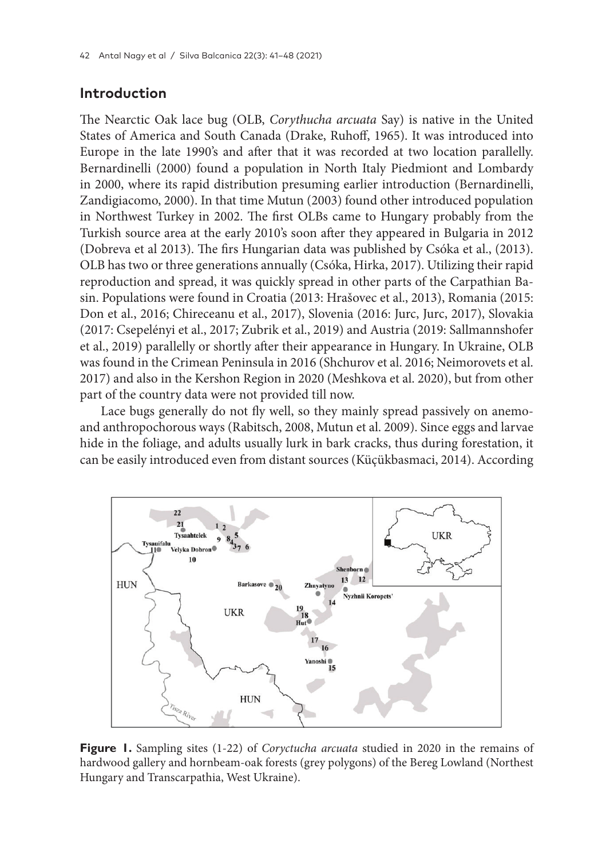## **Introduction**

The Nearctic Oak lace bug (OLB, *Corythucha arcuata* Say) is native in the United States of America and South Canada (Drake, Ruhoff, 1965). It was introduced into Europe in the late 1990's and after that it was recorded at two location parallelly. Bernardinelli (2000) found a population in North Italy Piedmiont and Lombardy in 2000, where its rapid distribution presuming earlier introduction (Bernardinelli, Zandigiacomo, 2000). In that time Mutun (2003) found other introduced population in Northwest Turkey in 2002. The first OLBs came to Hungary probably from the Turkish source area at the early 2010's soon after they appeared in Bulgaria in 2012 (Dobreva et al 2013). The firs Hungarian data was published by Csóka et al., (2013). OLB has two or three generations annually (Csóka, Hirka, 2017). Utilizing their rapid reproduction and spread, it was quickly spread in other parts of the Carpathian Basin. Populations were found in Croatia (2013: Hrašovec et al., 2013), Romania (2015: Don et al., 2016; Chireceanu et al., 2017), Slovenia (2016: Jurc, Jurc, 2017), Slovakia (2017: Csepelényi et al., 2017; Zubrik et al., 2019) and Austria (2019: Sallmannshofer et al., 2019) parallelly or shortly after their appearance in Hungary. In Ukraine, OLB was found in the Crimean Peninsula in 2016 (Shchurov et al. 2016; Neimorovets et al. 2017) and also in the Kershon Region in 2020 (Meshkova et al. 2020), but from other part of the country data were not provided till now.

Lace bugs generally do not fly well, so they mainly spread passively on anemoand anthropochorous ways (Rabitsch, 2008, Mutun et al. 2009). Since eggs and larvae hide in the foliage, and adults usually lurk in bark cracks, thus during forestation, it can be easily introduced even from distant sources (Küçükbasmaci, 2014). According



**Figure 1.** Sampling sites (1-22) of *Coryctucha arcuata* studied in 2020 in the remains of hardwood gallery and hornbeam-oak forests (grey polygons) of the Bereg Lowland (Northest Hungary and Transcarpathia, West Ukraine).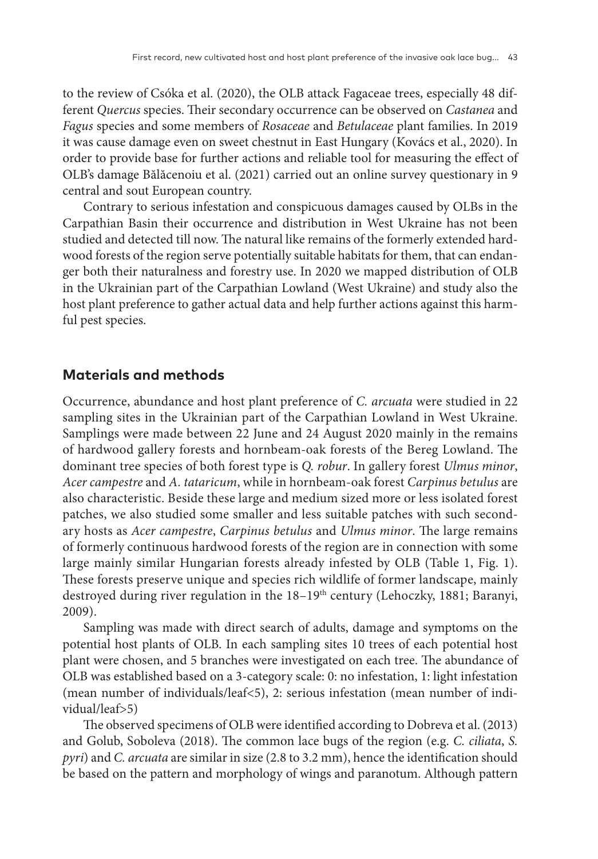to the review of Csóka et al. (2020), the OLB attack Fagaceae trees, especially 48 different *Quercus* species. Their secondary occurrence can be observed on *Castanea* and *Fagus* species and some members of *Rosaceae* and *Betulaceae* plant families. In 2019 it was cause damage even on sweet chestnut in East Hungary (Kovács et al., 2020). In order to provide base for further actions and reliable tool for measuring the effect of OLB's damage Bălăcenoiu et al. (2021) carried out an online survey questionary in 9 central and sout European country.

Contrary to serious infestation and conspicuous damages caused by OLBs in the Carpathian Basin their occurrence and distribution in West Ukraine has not been studied and detected till now. The natural like remains of the formerly extended hardwood forests of the region serve potentially suitable habitats for them, that can endanger both their naturalness and forestry use. In 2020 we mapped distribution of OLB in the Ukrainian part of the Carpathian Lowland (West Ukraine) and study also the host plant preference to gather actual data and help further actions against this harmful pest species.

# **Materials and methods**

Occurrence, abundance and host plant preference of *C. arcuata* were studied in 22 sampling sites in the Ukrainian part of the Carpathian Lowland in West Ukraine. Samplings were made between 22 June and 24 August 2020 mainly in the remains of hardwood gallery forests and hornbeam-oak forests of the Bereg Lowland. The dominant tree species of both forest type is *Q. robur*. In gallery forest *Ulmus minor*, *Acer campestre* and *A. tataricum*, while in hornbeam-oak forest *Carpinus betulus* are also characteristic. Beside these large and medium sized more or less isolated forest patches, we also studied some smaller and less suitable patches with such secondary hosts as *Acer campestre*, *Carpinus betulus* and *Ulmus minor*. The large remains of formerly continuous hardwood forests of the region are in connection with some large mainly similar Hungarian forests already infested by OLB (Table 1, Fig. 1). These forests preserve unique and species rich wildlife of former landscape, mainly destroyed during river regulation in the 18-19<sup>th</sup> century (Lehoczky, 1881; Baranyi, 2009).

Sampling was made with direct search of adults, damage and symptoms on the potential host plants of OLB. In each sampling sites 10 trees of each potential host plant were chosen, and 5 branches were investigated on each tree. The abundance of OLB was established based on a 3-category scale: 0: no infestation, 1: light infestation (mean number of individuals/leaf<5), 2: serious infestation (mean number of individual/leaf>5)

The observed specimens of OLB were identified according to Dobreva et al. (2013) and Golub, Soboleva (2018). The common lace bugs of the region (e.g. *C. ciliata*, *S. pyri*) and *C. arcuata* are similar in size (2.8 to 3.2 mm), hence the identification should be based on the pattern and morphology of wings and paranotum. Although pattern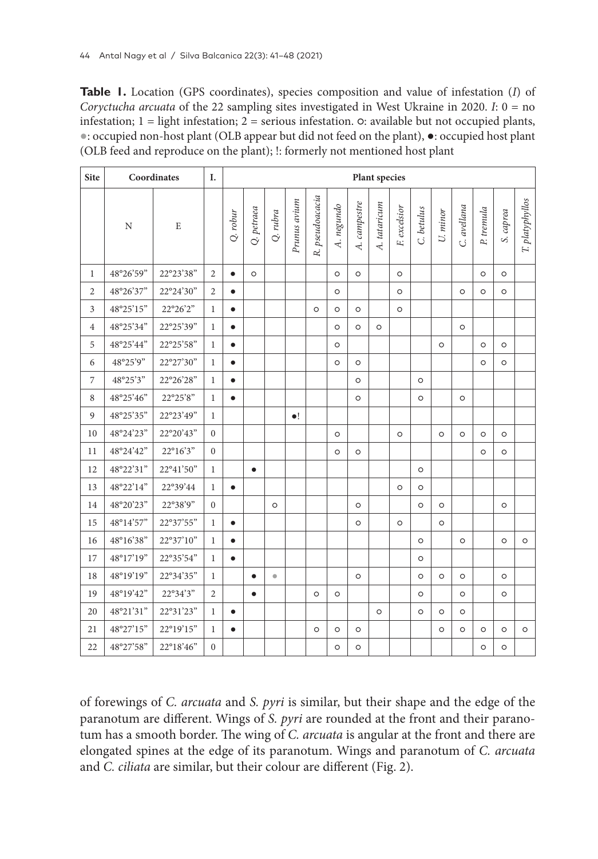**Table 1.** Location (GPS coordinates), species composition and value of infestation (*I*) of *Coryctucha arcuata* of the 22 sampling sites investigated in West Ukraine in 2020. *I*: 0 = no infestation; 1 = light infestation; 2 = serious infestation. ○: available but not occupied plants, ●: occupied non-host plant (OLB appear but did not feed on the plant), ●: occupied host plant (OLB feed and reproduce on the plant); !: formerly not mentioned host plant

| <b>Site</b>    | Coordinates |             |                | Plant species |            |           |              |                 |            |              |              |              |            |          |             |            |           |                 |
|----------------|-------------|-------------|----------------|---------------|------------|-----------|--------------|-----------------|------------|--------------|--------------|--------------|------------|----------|-------------|------------|-----------|-----------------|
|                | $\mathbf N$ | $\mathbf E$ |                | $Q.$ robur    | Q. petraea | Q. rubra  | Prunus avium | R. pseudoacacia | A. negundo | A. campestre | A. tataricum | F. excelsior | C. betulus | U. minor | C. avellana | P. tremula | S. caprea | T. platyphyllos |
| $\mathbf{1}$   | 48°26'59"   | 22°23'38"   | $\overline{2}$ | $\bullet$     | $\circ$    |           |              |                 | $\circ$    | $\circ$      |              | $\circ$      |            |          |             | $\circ$    | $\circ$   |                 |
| $\sqrt{2}$     | 48°26'37"   | 22°24'30"   | $\overline{2}$ | $\bullet$     |            |           |              |                 | $\circ$    |              |              | $\circ$      |            |          | $\circ$     | $\circ$    | $\circ$   |                 |
| $\mathfrak{Z}$ | 48°25'15"   | 22°26'2"    | $\mathbf{1}$   | $\bullet$     |            |           |              | $\circ$         | $\circ$    | $\circ$      |              | $\circ$      |            |          |             |            |           |                 |
| $\overline{4}$ | 48°25'34"   | 22°25'39"   | $\mathbf{1}$   | $\bullet$     |            |           |              |                 | $\circ$    | $\circ$      | $\circ$      |              |            |          | $\circ$     |            |           |                 |
| 5              | 48°25'44"   | 22°25'58"   | $\mathbf{1}$   | $\bullet$     |            |           |              |                 | $\circ$    |              |              |              |            | $\circ$  |             | $\circ$    | $\circ$   |                 |
| 6              | 48°25'9"    | 22°27'30"   | $\mathbf{1}$   | $\bullet$     |            |           |              |                 | $\circ$    | $\circ$      |              |              |            |          |             | $\circ$    | $\circ$   |                 |
| $\overline{7}$ | 48°25'3"    | 22°26'28"   | $\mathbf{1}$   | $\bullet$     |            |           |              |                 |            | $\circ$      |              |              | $\circ$    |          |             |            |           |                 |
| $\,8\,$        | 48°25'46"   | 22°25'8"    | $\mathbf{1}$   | $\bullet$     |            |           |              |                 |            | $\circ$      |              |              | $\circ$    |          | $\circ$     |            |           |                 |
| 9              | 48°25'35"   | 22°23'49"   | $\mathbf{1}$   |               |            |           | $\bullet!$   |                 |            |              |              |              |            |          |             |            |           |                 |
| 10             | 48°24'23"   | 22°20'43"   | $\mathbf{0}$   |               |            |           |              |                 | $\circ$    |              |              | $\circ$      |            | $\circ$  | $\circ$     | $\circ$    | $\circ$   |                 |
| 11             | 48°24'42"   | 22°16'3"    | $\mathbf{0}$   |               |            |           |              |                 | $\circ$    | $\circ$      |              |              |            |          |             | $\circ$    | $\circ$   |                 |
| 12             | 48°22'31"   | 22°41'50"   | $\mathbf{1}$   |               | $\bullet$  |           |              |                 |            |              |              |              | $\circ$    |          |             |            |           |                 |
| 13             | 48°22'14"   | 22°39'44    | $\mathbf{1}$   | $\bullet$     |            |           |              |                 |            |              |              | $\circ$      | $\circ$    |          |             |            |           |                 |
| 14             | 48°20'23"   | 22°38'9"    | $\mathbf{0}$   |               |            | $\circ$   |              |                 |            | $\circ$      |              |              | $\circ$    | $\circ$  |             |            | $\circ$   |                 |
| 15             | 48°14'57"   | 22°37'55"   | $\mathbf{1}$   | $\bullet$     |            |           |              |                 |            | $\circ$      |              | $\circ$      |            | $\circ$  |             |            |           |                 |
| 16             | 48°16'38"   | 22°37'10"   | $\mathbf{1}$   | $\bullet$     |            |           |              |                 |            |              |              |              | $\circ$    |          | $\circ$     |            | $\circ$   | $\circ$         |
| 17             | 48°17'19"   | 22°35'54"   | $\mathbf{1}$   | $\bullet$     |            |           |              |                 |            |              |              |              | $\circ$    |          |             |            |           |                 |
| 18             | 48°19'19"   | 22°34'35"   | $\mathbf{1}$   |               | $\bullet$  | $\bullet$ |              |                 |            | $\circ$      |              |              | $\circ$    | $\circ$  | $\circ$     |            | $\circ$   |                 |
| 19             | 48°19'42"   | 22°34'3"    | $\overline{2}$ |               | $\bullet$  |           |              | $\circ$         | $\circ$    |              |              |              | $\circ$    |          | $\circ$     |            | $\circ$   |                 |
| 20             | 48°21'31"   | 22°31'23"   | $\mathbf{1}$   | $\bullet$     |            |           |              |                 |            |              | $\circ$      |              | $\circ$    | $\circ$  | $\circ$     |            |           |                 |
| 21             | 48°27'15"   | 22°19'15"   | $\mathbf{1}$   | $\bullet$     |            |           |              | $\circ$         | $\circ$    | $\circ$      |              |              |            | $\circ$  | $\circ$     | $\circ$    | $\circ$   | $\circ$         |
| 22             | 48°27'58"   | 22°18'46"   | $\mathbf{0}$   |               |            |           |              |                 | $\circ$    | $\circ$      |              |              |            |          |             | $\circ$    | $\circ$   |                 |

of forewings of *C. arcuata* and *S. pyri* is similar, but their shape and the edge of the paranotum are different. Wings of *S. pyri* are rounded at the front and their paranotum has a smooth border. The wing of *C. arcuata* is angular at the front and there are elongated spines at the edge of its paranotum. Wings and paranotum of *C. arcuata* and *C. ciliata* are similar, but their colour are different (Fig. 2).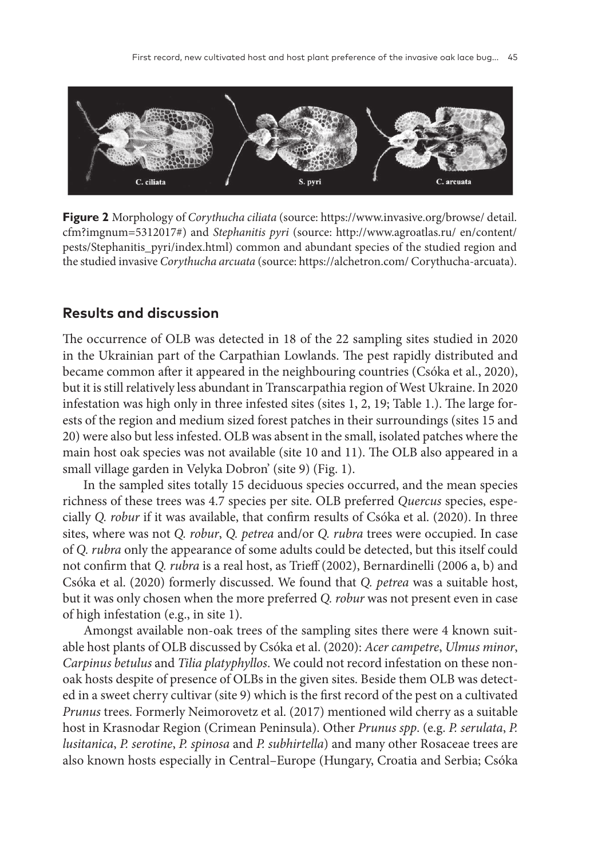

**Figure 2** Morphology of *Corythucha ciliata* (source: https://www.invasive.org/browse/ detail. cfm?imgnum=5312017#) and *Stephanitis pyri* (source: http://www.agroatlas.ru/ en/content/ pests/Stephanitis\_pyri/index.html) common and abundant species of the studied region and the studied invasive *Corythucha arcuata* (source: https://alchetron.com/ Corythucha-arcuata).

## **Results and discussion**

The occurrence of OLB was detected in 18 of the 22 sampling sites studied in 2020 in the Ukrainian part of the Carpathian Lowlands. The pest rapidly distributed and became common after it appeared in the neighbouring countries (Csóka et al., 2020), but it is still relatively less abundant in Transcarpathia region of West Ukraine. In 2020 infestation was high only in three infested sites (sites 1, 2, 19; Table 1.). The large forests of the region and medium sized forest patches in their surroundings (sites 15 and 20) were also but less infested. OLB was absent in the small, isolated patches where the main host oak species was not available (site 10 and 11). The OLB also appeared in a small village garden in Velyka Dobron' (site 9) (Fig. 1).

In the sampled sites totally 15 deciduous species occurred, and the mean species richness of these trees was 4.7 species per site. OLB preferred *Quercus* species, especially *Q. robur* if it was available, that confirm results of Csóka et al. (2020). In three sites, where was not *Q. robur*, *Q. petrea* and/or *Q. rubra* trees were occupied. In case of *Q. rubra* only the appearance of some adults could be detected, but this itself could not confirm that *Q. rubra* is a real host, as Trieff (2002), Bernardinelli (2006 a, b) and Csóka et al. (2020) formerly discussed. We found that *Q. petrea* was a suitable host, but it was only chosen when the more preferred *Q. robur* was not present even in case of high infestation (e.g., in site 1).

Amongst available non-oak trees of the sampling sites there were 4 known suitable host plants of OLB discussed by Csóka et al. (2020): *Acer campetre*, *Ulmus minor*, *Carpinus betulus* and *Tilia platyphyllos*. We could not record infestation on these nonoak hosts despite of presence of OLBs in the given sites. Beside them OLB was detected in a sweet cherry cultivar (site 9) which is the first record of the pest on a cultivated *Prunus* trees. Formerly Neimorovetz et al. (2017) mentioned wild cherry as a suitable host in Krasnodar Region (Crimean Peninsula). Other *Prunus spp*. (e.g. *P. serulata*, *P. lusitanica*, *P. serotine*, *P. spinosa* and *P. subhirtella*) and many other Rosaceae trees are also known hosts especially in Central–Europe (Hungary, Croatia and Serbia; Csóka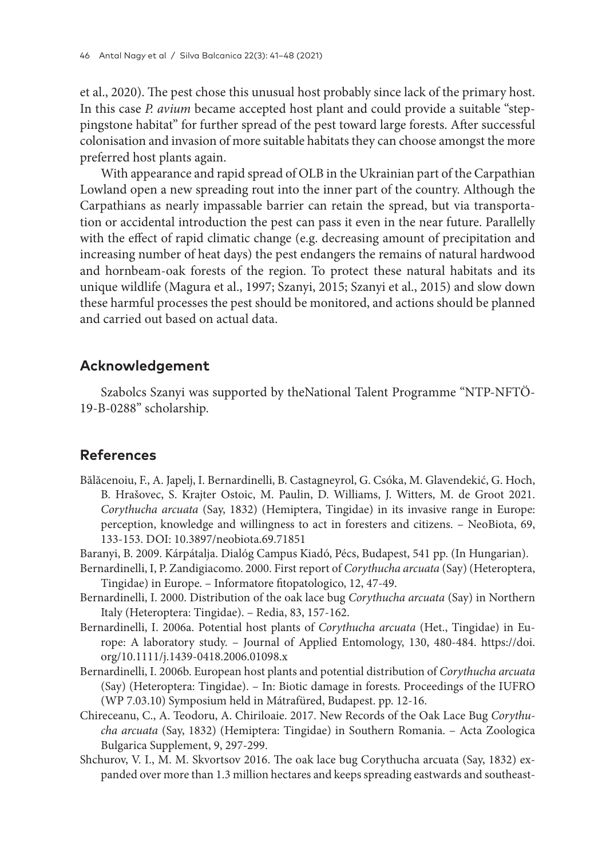et al., 2020). The pest chose this unusual host probably since lack of the primary host. In this case *P. avium* became accepted host plant and could provide a suitable "steppingstone habitat" for further spread of the pest toward large forests. After successful colonisation and invasion of more suitable habitats they can choose amongst the more preferred host plants again.

With appearance and rapid spread of OLB in the Ukrainian part of the Carpathian Lowland open a new spreading rout into the inner part of the country. Although the Carpathians as nearly impassable barrier can retain the spread, but via transportation or accidental introduction the pest can pass it even in the near future. Parallelly with the effect of rapid climatic change (e.g. decreasing amount of precipitation and increasing number of heat days) the pest endangers the remains of natural hardwood and hornbeam-oak forests of the region. To protect these natural habitats and its unique wildlife (Magura et al., 1997; Szanyi, 2015; Szanyi et al., 2015) and slow down these harmful processes the pest should be monitored, and actions should be planned and carried out based on actual data.

## **Acknowledgement**

Szabolcs Szanyi was supported by theNational Talent Programme "NTP-NFTÖ-19-B-0288" scholarship.

# **References**

- Bălăcenoiu, F., A. Japelj, I. Bernardinelli, B. Castagneyrol, G. Csóka, M. Glavendekić, G. Hoch, B. Hrašovec, S. Krajter Ostoic, M. Paulin, D. Williams, J. Witters, M. de Groot 2021. *Corythucha arcuata* (Say, 1832) (Hemiptera, Tingidae) in its invasive range in Europe: perception, knowledge and willingness to act in foresters and citizens. – NeoBiota, 69, 133-153. DOI: 10.3897/neobiota.69.71851
- Baranyi, B. 2009. Kárpátalja. Dialóg Campus Kiadó, Pécs, Budapest, 541 pp. (In Hungarian).
- Bernardinelli, I, P. Zandigiacomo. 2000. First report of *Corythucha arcuata* (Say) (Heteroptera, Tingidae) in Europe. – Informatore fitopatologico, 12, 47-49.
- Bernardinelli, I. 2000. Distribution of the oak lace bug *Corythucha arcuata* (Say) in Northern Italy (Heteroptera: Tingidae). – Redia, 83, 157-162.
- Bernardinelli, I. 2006a. Potential host plants of *Corythucha arcuata* (Het., Tingidae) in Europe: A laboratory study. – Journal of Applied Entomology, 130, 480-484. https://doi. org/10.1111/j.1439-0418.2006.01098.x
- Bernardinelli, I. 2006b. European host plants and potential distribution of *Corythucha arcuata* (Say) (Heteroptera: Tingidae). – In: Biotic damage in forests. Proceedings of the IUFRO (WP 7.03.10) Symposium held in Mátrafüred, Budapest. pp. 12-16.
- Chireceanu, C., A. Teodoru, A. Chiriloaie. 2017. New Records of the Oak Lace Bug *Corythucha arcuata* (Say, 1832) (Hemiptera: Tingidae) in Southern Romania. – Acta Zoologica Bulgarica Supplement, 9, 297-299.
- Shchurov, V. I., M. M. Skvortsov 2016. The oak lace bug Corythucha arcuata (Say, 1832) expanded over more than 1.3 million hectares and keeps spreading eastwards and southeast-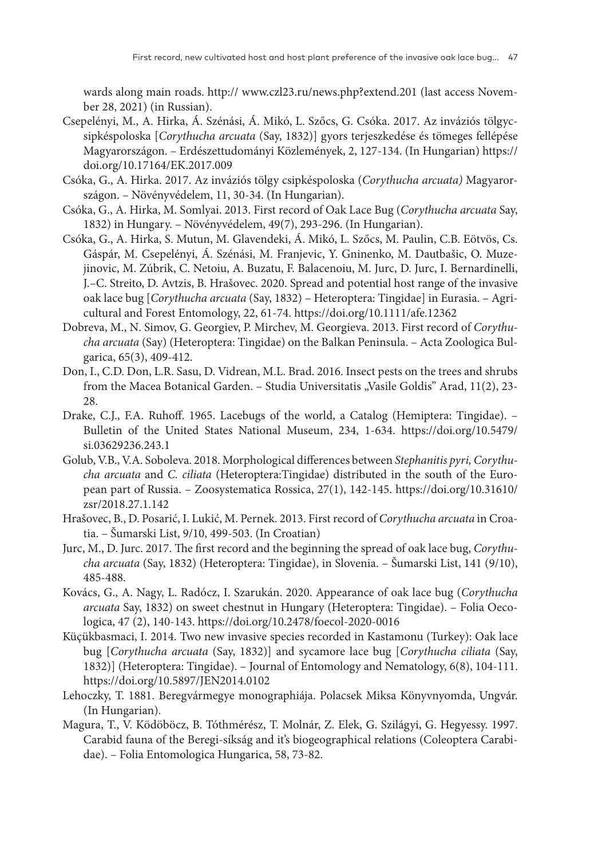wards along main roads. http:// www.czl23.ru/news.php?extend.201 (last access November 28, 2021) (in Russian).

- Csepelényi, M., A. Hirka, Á. Szénási, Á. Mikó, L. Szőcs, G. Csóka. 2017. Az inváziós tölgycsipkéspoloska [*Corythucha arcuata* (Say, 1832)] gyors terjeszkedése és tömeges fellépése Magyarországon. – Erdészettudományi Közlemények, 2, 127-134. (In Hungarian) https:// doi.org/10.17164/EK.2017.009
- Csóka, G., A. Hirka. 2017. Az inváziós tölgy csipkéspoloska (*Corythucha arcuata)* Magyarországon. – Növényvédelem, 11, 30-34. (In Hungarian).
- Csóka, G., A. Hirka, M. Somlyai. 2013. First record of Oak Lace Bug (*Corythucha arcuata* Say, 1832) in Hungary. – Növényvédelem, 49(7), 293-296. (In Hungarian).
- Csóka, G., A. Hirka, S. Mutun, M. Glavendeki, Á. Mikó, L. Szőcs, M. Paulin, C.B. Eötvös, Cs. Gáspár, M. Csepelényi, Á. Szénási, M. Franjevic, Y. Gninenko, M. Dautbašic, O. Muzejinovic, M. Zúbrik, C. Netoiu, A. Buzatu, F. Balacenoiu, M. Jurc, D. Jurc, I. Bernardinelli, J.–C. Streito, D. Avtzis, B. Hrašovec. 2020. Spread and potential host range of the invasive oak lace bug [*Corythucha arcuata* (Say, 1832) – Heteroptera: Tingidae] in Eurasia. – Agricultural and Forest Entomology, 22, 61-74. https://doi.org/10.1111/afe.12362
- Dobreva, M., N. Simov, G. Georgiev, P. Mirchev, M. Georgieva. 2013. First record of *Corythucha arcuata* (Say) (Heteroptera: Tingidae) on the Balkan Peninsula. – Acta Zoologica Bulgarica, 65(3), 409-412.
- Don, I., C.D. Don, L.R. Sasu, D. Vidrean, M.L. Brad. 2016. Insect pests on the trees and shrubs from the Macea Botanical Garden. - Studia Universitatis "Vasile Goldis" Arad, 11(2), 23-28
- Drake, C.J., F.A. Ruhoff. 1965. Lacebugs of the world, a Catalog (Hemiptera: Tingidae). Bulletin of the United States National Museum, 234, 1-634. https://doi.org/10.5479/ si.03629236.243.1
- Golub, V.B., V.A. Soboleva. 2018. Morphological differences between *Stephanitis pyri, Corythucha arcuata* and *C. ciliata* (Heteroptera:Tingidae) distributed in the south of the European part of Russia. – Zoosystematica Rossica, 27(1), 142-145. https://doi.org/10.31610/ zsr/2018.27.1.142
- Hrašovec, B., D. Posarić, I. Lukić, M. Pernek. 2013. First record of *Corythucha arcuata* in Croatia. – Šumarski List, 9/10, 499-503. (In Croatian)
- Jurc, M., D. Jurc. 2017. The first record and the beginning the spread of oak lace bug, *Corythucha arcuata* (Say, 1832) (Heteroptera: Tingidae), in Slovenia. – Šumarski List, 141 (9/10), 485-488.
- Kovács, G., A. Nagy, L. Radócz, I. Szarukán. 2020. Appearance of oak lace bug (*Corythucha arcuata* Say, 1832) on sweet chestnut in Hungary (Heteroptera: Tingidae). – Folia Oecologica, 47 (2), 140-143. https://doi.org/10.2478/foecol-2020-0016
- Küçükbasmaci, I. 2014. Two new invasive species recorded in Kastamonu (Turkey): Oak lace bug [*Corythucha arcuata* (Say, 1832)] and sycamore lace bug [*Corythucha ciliata* (Say, 1832)] (Heteroptera: Tingidae). – Journal of Entomology and Nematology, 6(8), 104-111. https://doi.org/10.5897/JEN2014.0102
- Lehoczky, T. 1881. Beregvármegye monographiája. Polacsek Miksa Könyvnyomda, Ungvár. (In Hungarian).
- Magura, T., V. Ködöböcz, B. Tóthmérész, T. Molnár, Z. Elek, G. Szilágyi, G. Hegyessy. 1997. Carabid fauna of the Beregi-síkság and it's biogeographical relations (Coleoptera Carabidae). – Folia Entomologica Hungarica, 58, 73-82.